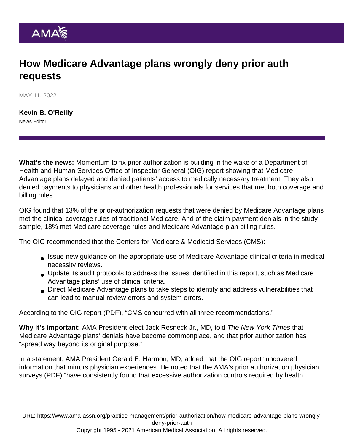## How Medicare Advantage plans wrongly deny prior auth requests

MAY 11, 2022

[Kevin B. O'Reilly](https://www.ama-assn.org/news-leadership-viewpoints/authors-news-leadership-viewpoints/kevin-b-oreilly) News Editor

What's the news: Momentum to fix [prior authorization](https://www.ama-assn.org/practice-management/sustainability/prior-authorization) is building in the wake of a Department of Health and Human Services Office of Inspector General (OIG) report showing that Medicare Advantage plans delayed and denied patients' access to medically necessary treatment. They also denied payments to physicians and other health professionals for services that met both coverage and billing rules.

OIG found that 13% of the prior-authorization requests that were denied by Medicare Advantage plans met the clinical coverage rules of traditional Medicare. And of the claim-payment denials in the study sample, 18% met Medicare coverage rules and Medicare Advantage plan billing rules.

The OIG recommended that the Centers for Medicare & Medicaid Services (CMS):

- Issue new guidance on the appropriate use of Medicare Advantage clinical criteria in medical necessity reviews.
- Update its audit protocols to address the issues identified in this report, such as Medicare Advantage plans' use of clinical criteria.
- Direct Medicare Advantage plans to take steps to identify and address vulnerabilities that can lead to manual review errors and system errors.

According to the [OIG report](https://oig.hhs.gov/oei/reports/OEI-09-18-00260.pdf) (PDF), "CMS concurred with all three recommendations."

Why it's important: AMA President-elect [Jack Resneck Jr., MD](https://www.ama-assn.org/about/board-trustees/jack-resneck-jr-md), told [The New York Times that](https://www.nytimes.com/2022/04/28/health/medicare-advantage-plans-report.html) [Medicare Advantage plans' denials](https://www.nytimes.com/2022/04/28/health/medicare-advantage-plans-report.html) have become commonplace, and that prior authorization has "spread way beyond its original purpose."

In a statement, AMA President [Gerald E. Harmon, MD](https://www.ama-assn.org/about/board-trustees/gerald-e-harmon-md), added that the OIG report "uncovered information that mirrors physician experiences. He noted that the [AMA's prior authorization physician](https://www.ama-assn.org/system/files/prior-authorization-survey.pdf) [surveys](https://www.ama-assn.org/system/files/prior-authorization-survey.pdf) (PDF) "have consistently found that excessive authorization controls required by health

URL: [https://www.ama-assn.org/practice-management/prior-authorization/how-medicare-advantage-plans-wrongly](https://www.ama-assn.org/practice-management/prior-authorization/how-medicare-advantage-plans-wrongly-deny-prior-auth)[deny-prior-auth](https://www.ama-assn.org/practice-management/prior-authorization/how-medicare-advantage-plans-wrongly-deny-prior-auth) Copyright 1995 - 2021 American Medical Association. All rights reserved.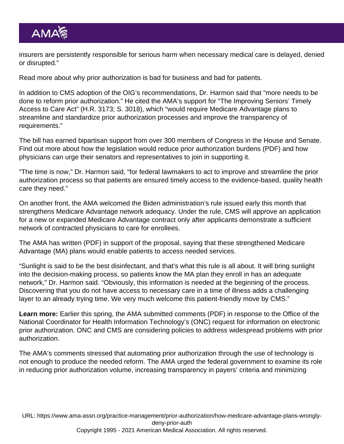insurers are persistently responsible for serious harm when necessary medical care is delayed, denied or disrupted."

Read more about [why prior authorization is bad for business and bad for patients.](https://www.ama-assn.org/practice-management/sustainability/why-prior-authorization-bad-patients-and-bad-business)

In addition to CMS adoption of the OIG's recommendations, Dr. Harmon said that "more needs to be done to reform prior authorization." He cited the AMA's support for "The Improving Seniors' Timely Access to Care Act" (H.R. 3173; S. 3018), which "would require Medicare Advantage plans to streamline and standardize prior authorization processes and improve the transparency of requirements."

The bill has earned bipartisan support from over 300 members of Congress in the House and Senate. Find out more about how the legislation would [reduce prior authorization burdens](https://www.ama-assn.org/system/files/2022-nac-action-kit-prior-auth.pdf) (PDF) and how physicians can urge their senators and representatives to join in supporting it.

"The time is now," Dr. Harmon said, "for federal lawmakers to act to improve and streamline the prior authorization process so that patients are ensured timely access to the evidence-based, quality health care they need."

On another front, the AMA welcomed the Biden administration's [rule](https://www.cms.gov/newsroom/fact-sheets/cy-2023-medicare-advantage-and-part-d-final-rule-cms-4192-f) issued early this month that strengthens Medicare Advantage network adequacy. Under the rule, CMS will approve an application for a new or expanded Medicare Advantage contract only after applicants demonstrate a sufficient network of contracted physicians to care for enrollees.

The AMA [has written](https://searchlf.ama-assn.org/letter/documentDownload?uri=/unstructured/binary/letter/LETTERS/2022-3-7-Letter-to-Brooks-LaSure-re-MA-NPRM-v3.pdf) (PDF) in support of the proposal, saying that these strengthened Medicare Advantage (MA) plans would enable patients to access needed services.

"Sunlight is said to be the best disinfectant, and that's what this rule is all about. It will bring sunlight into the decision-making process, so patients know the MA plan they enroll in has an adequate network," Dr. Harmon said. "Obviously, this information is needed at the beginning of the process. Discovering that you do not have access to necessary care in a time of illness adds a challenging layer to an already trying time. We very much welcome this patient-friendly move by CMS."

Learn more: Earlier this spring, the [AMA submitted comments](https://searchlf.ama-assn.org/letter/documentDownload?uri=/unstructured/binary/letter/LETTERS/2022-3-23-Letter-to-Tripathi-re-EPA-Comments-v3.pdf) (PDF) in response to the Office of the National Coordinator for Health Information Technology's (ONC) request for information on electronic prior authorization. ONC and CMS are considering policies to address widespread problems with prior authorization.

The AMA's comments stressed that automating prior authorization through the use of technology is not enough to produce the needed reform. The AMA urged the federal government to examine its role in reducing prior authorization volume, increasing transparency in payers' criteria and minimizing

URL: [https://www.ama-assn.org/practice-management/prior-authorization/how-medicare-advantage-plans-wrongly](https://www.ama-assn.org/practice-management/prior-authorization/how-medicare-advantage-plans-wrongly-deny-prior-auth)[deny-prior-auth](https://www.ama-assn.org/practice-management/prior-authorization/how-medicare-advantage-plans-wrongly-deny-prior-auth) Copyright 1995 - 2021 American Medical Association. All rights reserved.